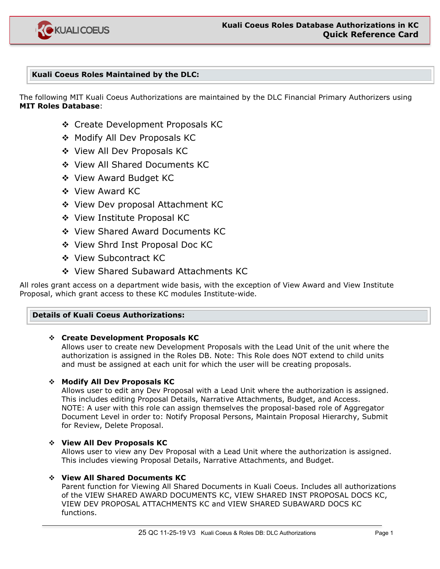

# **Kuali Coeus Roles Maintained by the DLC:**

The following MIT Kuali Coeus Authorizations are maintained by the DLC Financial Primary Authorizers using **MIT Roles Database**:

- Create Development Proposals KC
- ◆ Modify All Dev Proposals KC
- View All Dev Proposals KC
- ◆ View All Shared Documents KC
- View Award Budget KC
- ❖ View Award KC
- ◆ View Dev proposal Attachment KC
- ◆ View Institute Proposal KC
- ◆ View Shared Award Documents KC
- ◆ View Shrd Inst Proposal Doc KC
- View Subcontract KC
- ◆ View Shared Subaward Attachments KC

All roles grant access on a department wide basis, with the exception of View Award and View Institute Proposal, which grant access to these KC modules Institute-wide.

#### **Details of Kuali Coeus Authorizations:**

#### **Create Development Proposals KC**

Allows user to create new Development Proposals with the Lead Unit of the unit where the authorization is assigned in the Roles DB. Note: This Role does NOT extend to child units and must be assigned at each unit for which the user will be creating proposals.

# **Modify All Dev Proposals KC**

Allows user to edit any Dev Proposal with a Lead Unit where the authorization is assigned. This includes editing Proposal Details, Narrative Attachments, Budget, and Access. NOTE: A user with this role can assign themselves the proposal-based role of Aggregator Document Level in order to: Notify Proposal Persons, Maintain Proposal Hierarchy, Submit for Review, Delete Proposal.

# **View All Dev Proposals KC**

Allows user to view any Dev Proposal with a Lead Unit where the authorization is assigned. This includes viewing Proposal Details, Narrative Attachments, and Budget.

#### **View All Shared Documents KC**

Parent function for Viewing All Shared Documents in Kuali Coeus. Includes all authorizations of the VIEW SHARED AWARD DOCUMENTS KC, VIEW SHARED INST PROPOSAL DOCS KC, VIEW DEV PROPOSAL ATTACHMENTS KC and VIEW SHARED SUBAWARD DOCS KC functions.